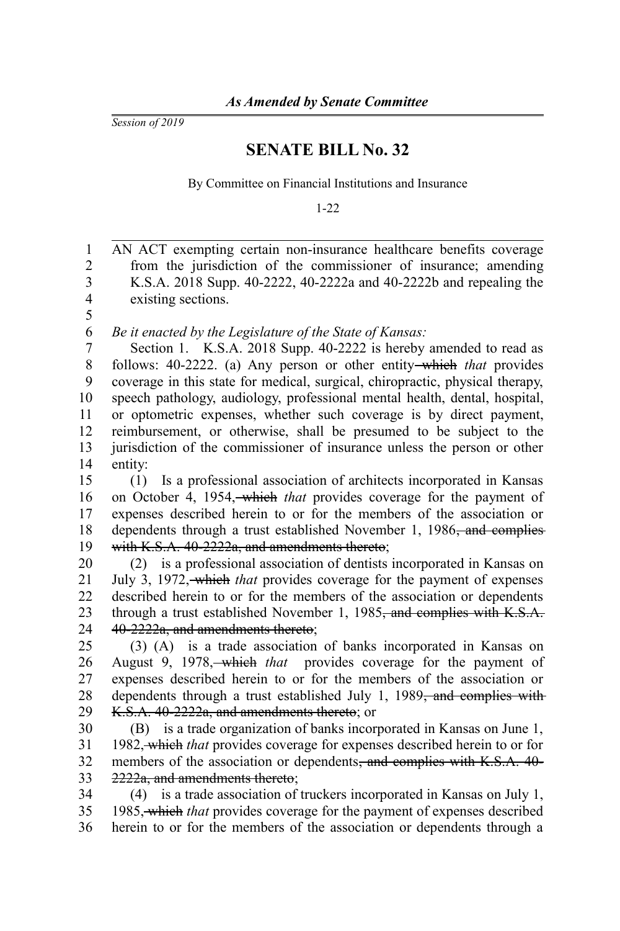*Session of 2019*

## **SENATE BILL No. 32**

By Committee on Financial Institutions and Insurance

1-22

AN ACT exempting certain non-insurance healthcare benefits coverage from the jurisdiction of the commissioner of insurance; amending K.S.A. 2018 Supp. 40-2222, 40-2222a and 40-2222b and repealing the existing sections. *Be it enacted by the Legislature of the State of Kansas:* Section 1. K.S.A. 2018 Supp. 40-2222 is hereby amended to read as follows: 40-2222. (a) Any person or other entity which *that* provides coverage in this state for medical, surgical, chiropractic, physical therapy, speech pathology, audiology, professional mental health, dental, hospital, or optometric expenses, whether such coverage is by direct payment, reimbursement, or otherwise, shall be presumed to be subject to the jurisdiction of the commissioner of insurance unless the person or other entity: (1) Is a professional association of architects incorporated in Kansas on October 4, 1954, which *that* provides coverage for the payment of expenses described herein to or for the members of the association or dependents through a trust established November 1, 1986<del>, and complies</del> with K.S.A. 40-2222a, and amendments thereto; (2) is a professional association of dentists incorporated in Kansas on July 3, 1972, which *that* provides coverage for the payment of expenses described herein to or for the members of the association or dependents through a trust established November 1, 1985<del>, and complies with K.S.A.</del> 40-2222a, and amendments thereto; (3) (A) is a trade association of banks incorporated in Kansas on August 9, 1978, which *that* provides coverage for the payment of expenses described herein to or for the members of the association or dependents through a trust established July 1, 1989<del>, and complies with</del> K.S.A. 40-2222a, and amendments thereto; or (B) is a trade organization of banks incorporated in Kansas on June 1, 1982, which *that* provides coverage for expenses described herein to or for members of the association or dependents, and complies with K.S.A. 40-2222a, and amendments thereto; (4) is a trade association of truckers incorporated in Kansas on July 1, 1985, which *that* provides coverage for the payment of expenses described herein to or for the members of the association or dependents through a 1 2 3 4 5 6 7 8 9 10 11 12 13 14 15 16 17 18 19 20 21 22 23 24 25 26 27 28 29 30 31 32 33 34 35 36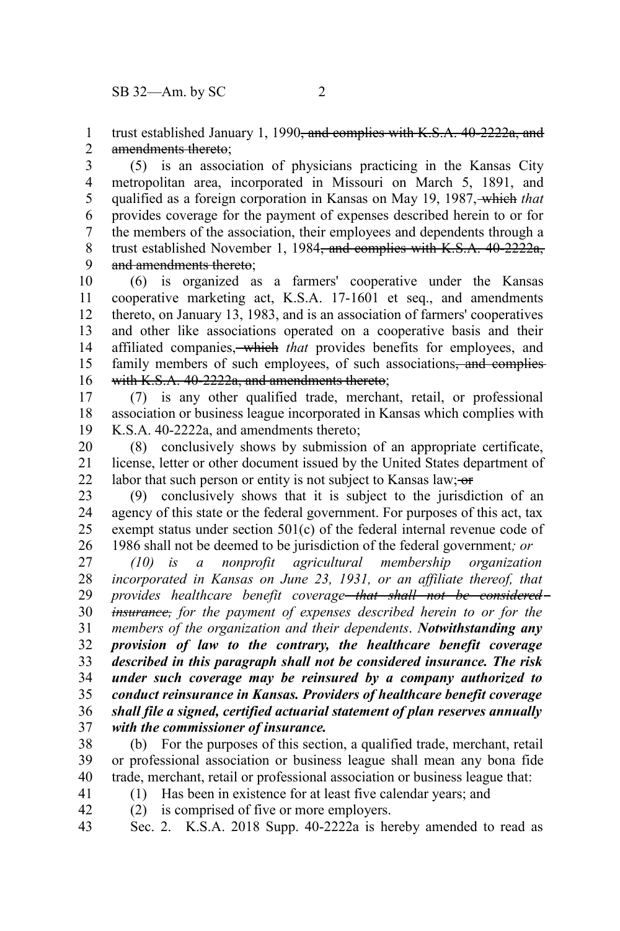trust established January 1, 1990<del>, and complies with K.S.A. 40-2222a, and</del> amendments thereto; 1 2

(5) is an association of physicians practicing in the Kansas City metropolitan area, incorporated in Missouri on March 5, 1891, and qualified as a foreign corporation in Kansas on May 19, 1987, which *that* provides coverage for the payment of expenses described herein to or for the members of the association, their employees and dependents through a trust established November 1, 1984<del>, and complies with K.S.A. 40-2222a,</del> and amendments thereto; 3 4 5 6 7 8 9

(6) is organized as a farmers' cooperative under the Kansas cooperative marketing act, K.S.A. 17-1601 et seq., and amendments thereto, on January 13, 1983, and is an association of farmers' cooperatives and other like associations operated on a cooperative basis and their affiliated companies, which *that* provides benefits for employees, and family members of such employees, of such associations<del>, and complies</del> with K.S.A. 40-2222a, and amendments thereto; 10 11 12 13 14 15 16

(7) is any other qualified trade, merchant, retail, or professional association or business league incorporated in Kansas which complies with K.S.A. 40-2222a, and amendments thereto; 17 18 19

(8) conclusively shows by submission of an appropriate certificate, license, letter or other document issued by the United States department of labor that such person or entity is not subject to Kansas law;  $\sigma$ 20 21 22

(9) conclusively shows that it is subject to the jurisdiction of an agency of this state or the federal government. For purposes of this act, tax exempt status under section 501(c) of the federal internal revenue code of 1986 shall not be deemed to be jurisdiction of the federal government*; or* 23 24 25 26

*(10) is a nonprofit agricultural membership organization incorporated in Kansas on June 23, 1931, or an affiliate thereof, that provides healthcare benefit coverage that shall not be considered insurance, for the payment of expenses described herein to or for the members of the organization and their dependents*. *Notwithstanding any provision of law to the contrary, the healthcare benefit coverage described in this paragraph shall not be considered insurance. The risk under such coverage may be reinsured by a company authorized to conduct reinsurance in Kansas. Providers of healthcare benefit coverage shall file a signed, certified actuarial statement of plan reserves annually with the commissioner of insurance.*  27 28 29 30 31 32 33 34 35 36 37

(b) For the purposes of this section, a qualified trade, merchant, retail or professional association or business league shall mean any bona fide trade, merchant, retail or professional association or business league that: 38 39 40

- (1) Has been in existence for at least five calendar years; and
- (2) is comprised of five or more employers. 42

41

Sec. 2. K.S.A. 2018 Supp. 40-2222a is hereby amended to read as 43